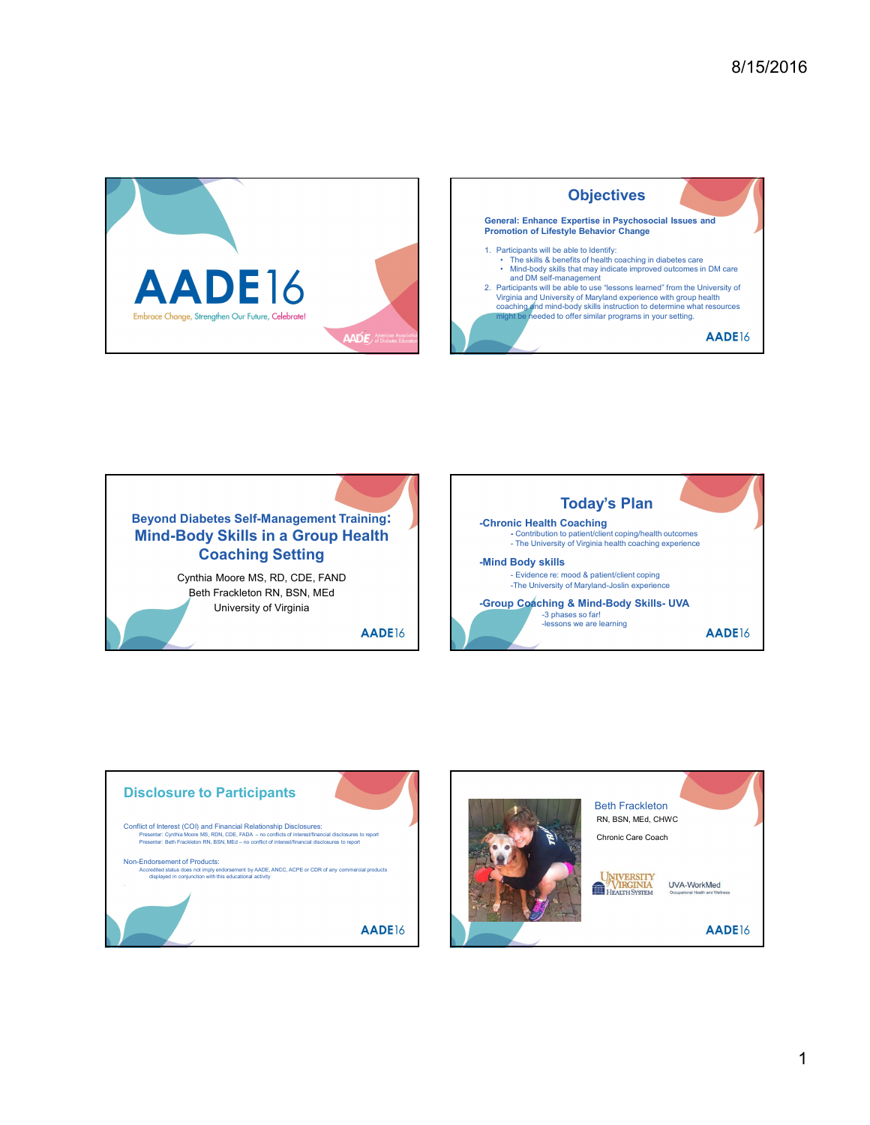









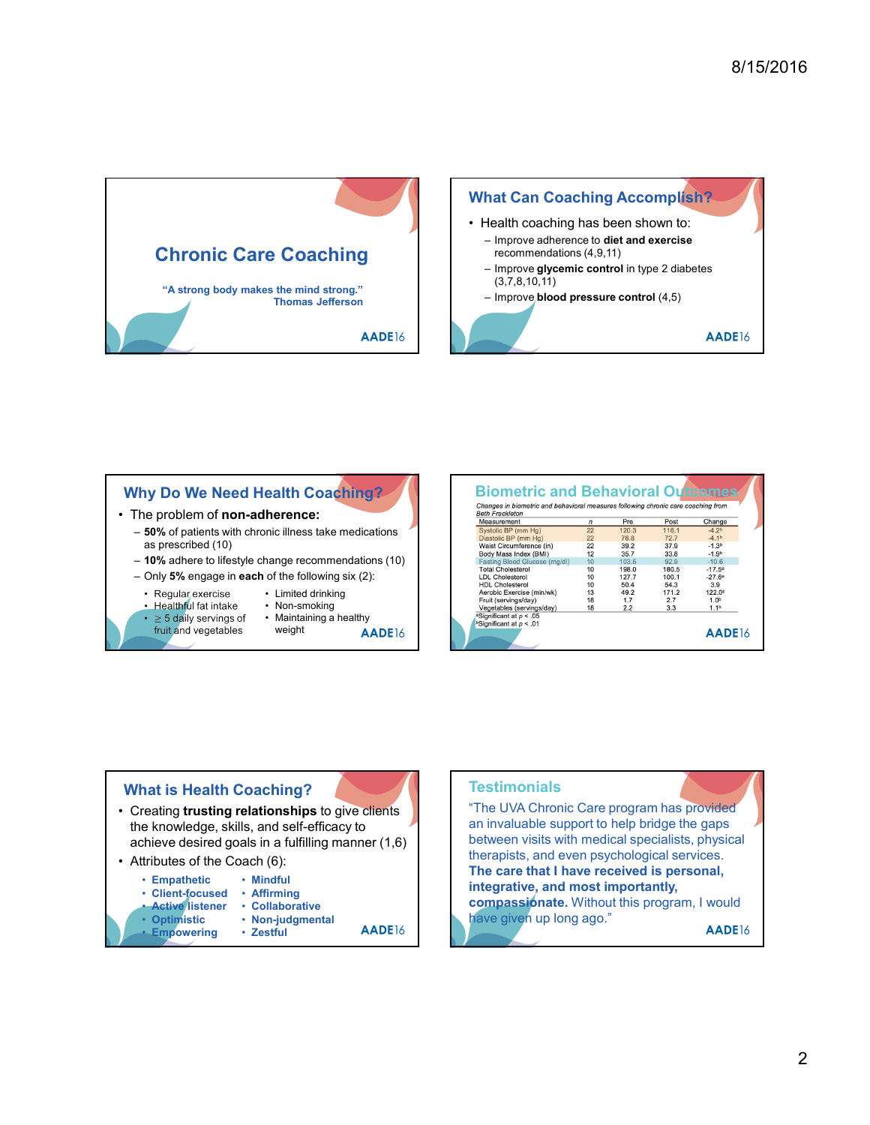

## Why Do We Need Health Coaching?

- - as prescribed (10)
	- 10% adhere to lifestyle change recommendations (10)
	- -
		- - - weight **AADE**16

| • The problem of non-adherence:<br>- 50% of patients with chronic illness take medications<br>as prescribed (10)<br>$-10\%$ adhere to lifestyle change recommendations (10)<br>$-$ Only 5% engage in each of the following six (2):<br>· Regular exercise<br>• Limited drinking<br>• Healthful fat intake<br>• Non-smoking<br>$\cdot$ $\geq$ 5 daily servings of<br>• Maintaining a healthy<br>fruit and vegetables<br>weight<br>AADE <sub>16</sub> | Changes in biometric and behavioral measures following chronic care coaching from<br><b>Beth Frackleton</b><br>Measurement<br>Pre<br>Post<br>$\sqrt{n}$<br>Change<br>120.3<br>Systolic BP (mm Hg)<br>22<br>116.1<br>$-4.2b$<br>Diastolic BP (mm Hg)<br>22<br>76.8<br>72.7<br>$-4.1b$<br>Waist Circumference (in)<br>22<br>39.2<br>37.9<br>$-1.3b$<br>12<br>35.7<br>33.8<br>Body Mass Index (BMI)<br>$-1.9b$<br>Fasting Blood Glucose (mg/dl)<br>10<br>103.5<br>92.9<br>$-10.6$<br>10<br>198.0<br>180.5<br>$-17.5a$<br><b>Total Cholesterol</b><br>10<br>127.7<br>$-27.6a$<br><b>LDL Cholesterol</b><br>100.1<br>10<br>50.4<br>54.3<br>3.9<br><b>HDL Cholesterol</b><br>13<br>49.2<br>171.2<br>122.0b<br>Aerobic Exercise (min/wk)<br>18<br>1.7<br>1.0 <sup>b</sup><br>Fruit (servings/day)<br>2.7<br>18<br>1.1 <sup>b</sup><br>Vegetables (servings/day)<br>2.2<br>3.3<br><sup>a</sup> Significant at $p < .05$<br>$b$ Significant at $p < .01$<br>AADE16 |
|-----------------------------------------------------------------------------------------------------------------------------------------------------------------------------------------------------------------------------------------------------------------------------------------------------------------------------------------------------------------------------------------------------------------------------------------------------|-----------------------------------------------------------------------------------------------------------------------------------------------------------------------------------------------------------------------------------------------------------------------------------------------------------------------------------------------------------------------------------------------------------------------------------------------------------------------------------------------------------------------------------------------------------------------------------------------------------------------------------------------------------------------------------------------------------------------------------------------------------------------------------------------------------------------------------------------------------------------------------------------------------------------------------------------------------|
| <b>What is Health Coaching?</b><br>Creating trusting relationships to give clients<br>the knowledge, skills, and self-efficacy to<br>achieve desired goals in a fulfilling manner (1,6)<br>• Attributes of the Coach (6):<br>• Mindful<br>• Empathetic<br>• Client-focused<br>• Affirming<br><b>Active</b> listener<br>• Collaborative<br>• Optimistic<br>• Non-judgmental<br>AADE <sub>16</sub><br><b>Empowering</b><br>• Zestful                  | <b>Testimonials</b><br>"The UVA Chronic Care program has provided<br>an invaluable support to help bridge the gaps<br>between visits with medical specialists, physical<br>therapists, and even psychological services.<br>The care that I have received is personal,<br>integrative, and most importantly,<br>compassionate. Without this program, I would<br>have given up long ago."<br>AADE16                                                                                                                                                                                                                                                                                                                                                                                                                                                                                                                                                         |

### What is Health Coaching?

- the knowledge, skills, and self-efficacy to achieve desired goals in a fulfilling manner (1,6)
- - Mindful
	- Client-focused · Affirming
		-
	- Optimistic Non-judgmental **Administration of the Contract Contract Contract Contract Contract Contract Contract Contract Contract Contract Contract Contract Contract Contract Contract Contract Contract Contract Contrac** 
		-
	- Empowering Zestful **AADE**16 • Zestful

# **Testimonials** "The UVA Chronic Care program has provided

2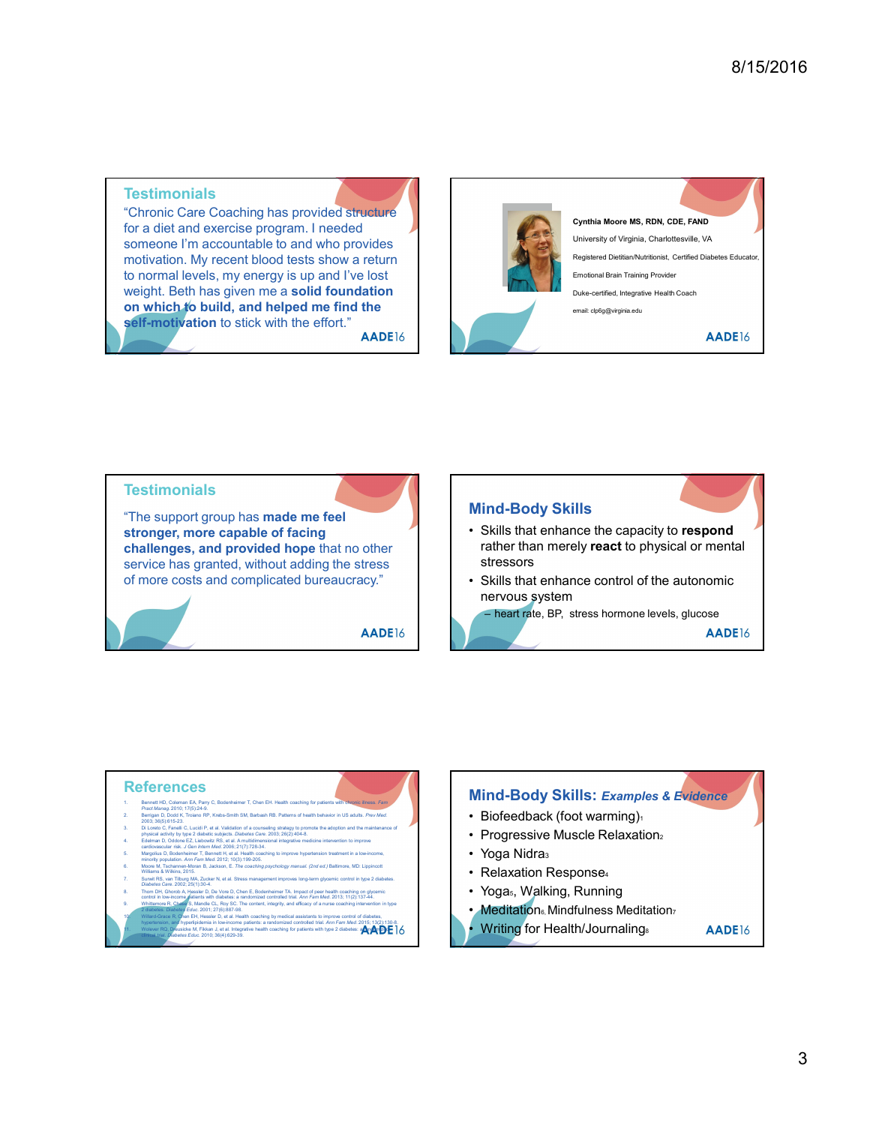### **Testimonials**

"Chronic Care Coaching has provided structure for a diet and exercise program. I needed someone I'm accountable to and who provides motivation. My recent blood tests show a return to normal levels, my energy is up and I've lost weight. Beth has given me a solid foundation on which to build, and helped me find the **self-motivation** to stick with the effort."<br>AADE<sup>16</sup>





- 
- 
- Reference CS<br>
Secret HD, Coleman EA, Pany C, Bodenheimer T, Chen EH. Health coaching<br>
Pract Manage 2010, 17(19)24-9, Nedes-Smith SM, Barbash RB. Patterns of he<br>
2003-36(5) 615-25. Trickens RP, Kreeb-Smith SM, Barbash RB. P
- 
- 
- 
- 
- 
- -

# **Mind-Body Skills: Examples & Evidence**

- 
- 
- 
- 
- 
- 
- 
-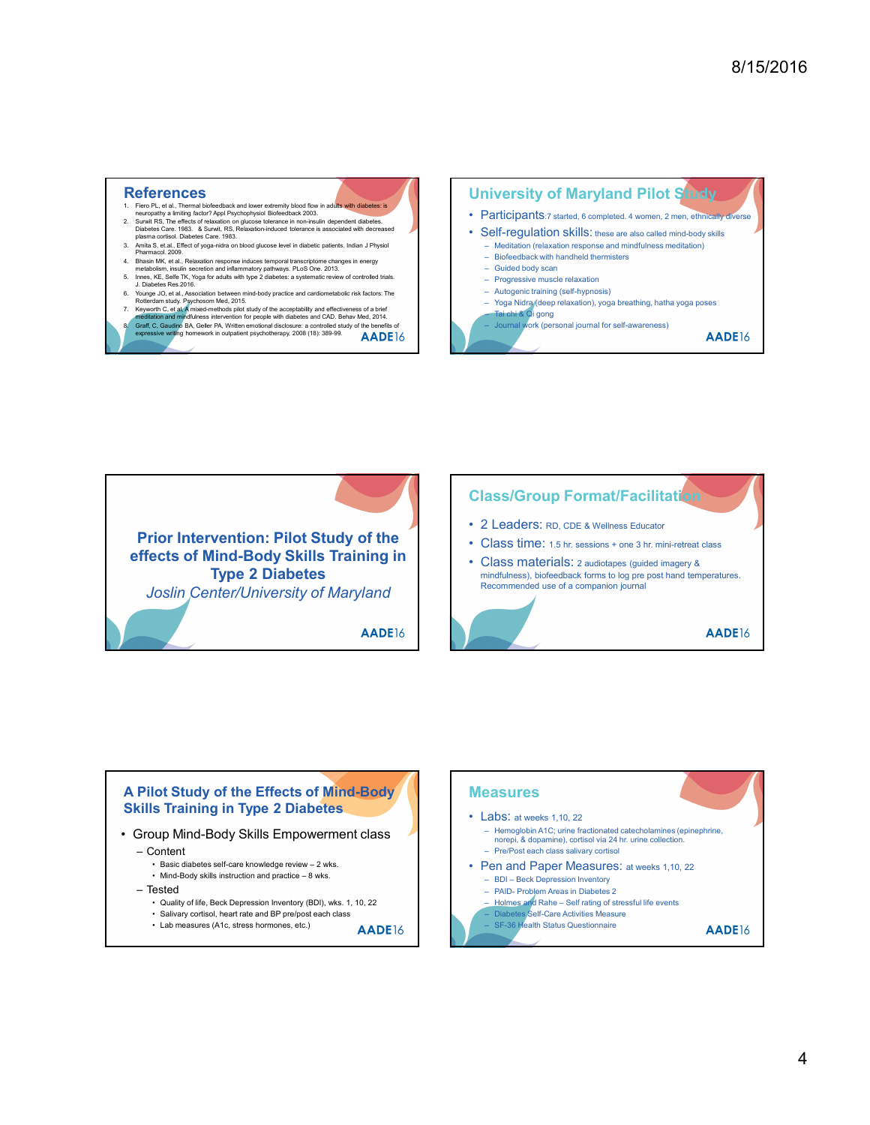- 
- References<br>
1. Fiero PL, et al., Thermal biofeedback and lower extremity blood flow in adults with diabetes: is<br>
neurogathy a limiting factor? Appl Psychophysiol Biofeedback 2003.<br>
2. Surwit RS, The effects of relaxation o
- 
- 
- 
- 
- 
- 





![](_page_3_Figure_12.jpeg)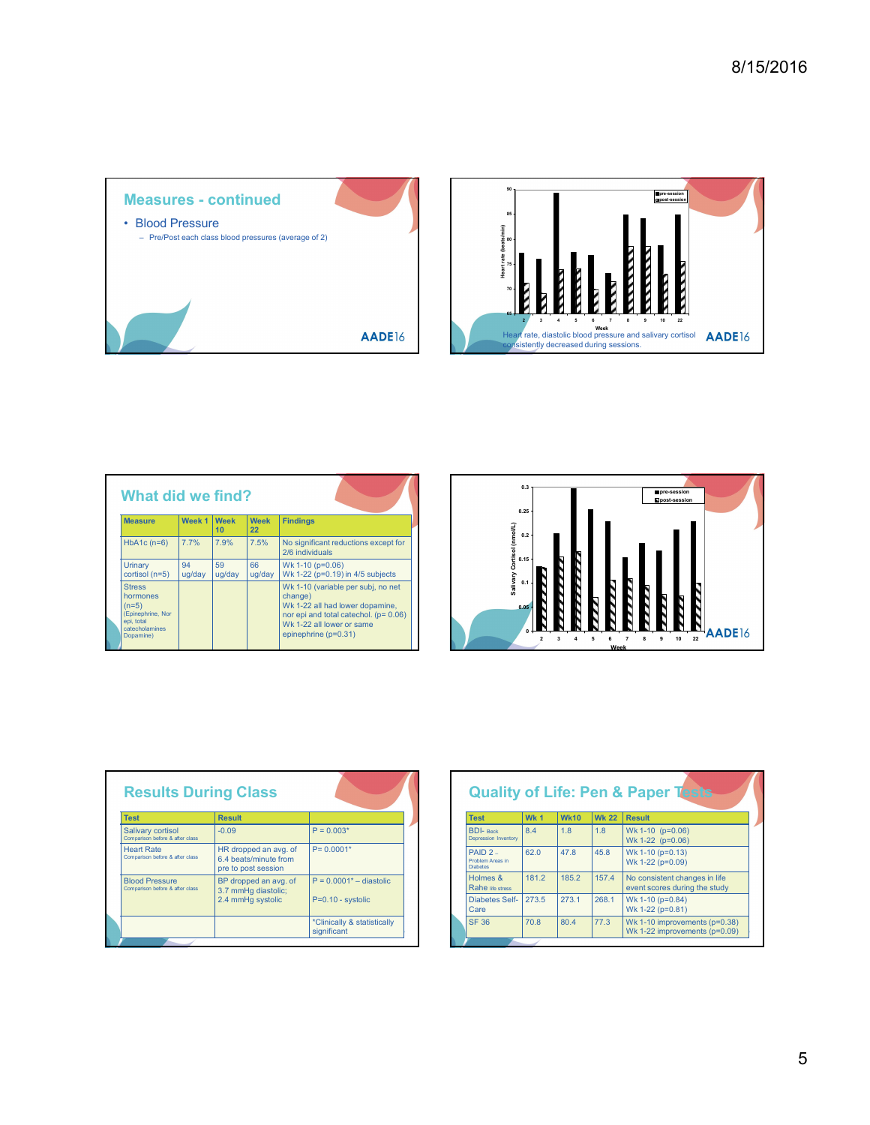![](_page_4_Figure_1.jpeg)

![](_page_4_Figure_2.jpeg)

| <b>Measure</b>                                                                                                              | Week 1       | <b>Week</b><br>10 <sup>1</sup> | <b>Week</b><br>22                                                     | <b>Findings</b>                                                                                                                                                                |  |                                                               | 0.25                   |                                  |                     |                                                       |
|-----------------------------------------------------------------------------------------------------------------------------|--------------|--------------------------------|-----------------------------------------------------------------------|--------------------------------------------------------------------------------------------------------------------------------------------------------------------------------|--|---------------------------------------------------------------|------------------------|----------------------------------|---------------------|-------------------------------------------------------|
| $HbA1c(n=6)$                                                                                                                | 7.7%         | 7.9%                           | 7.5%                                                                  | No significant reductions except for<br>2/6 individuals                                                                                                                        |  |                                                               |                        |                                  |                     |                                                       |
| Urinary<br>cortisol (n=5)                                                                                                   | 94<br>ug/day | 59<br>ug/day                   | 66<br>ug/day                                                          | Wk 1-10 (p=0.06)<br>Wk 1-22 (p=0.19) in 4/5 subjects                                                                                                                           |  | Salivary Cortisol (nmol/L)<br>P. Cortisol (nmol/L)<br>L. C    |                        |                                  |                     |                                                       |
| <b>Stress</b><br>hormones<br>$(n=5)$<br>(Epinephrine, Nor<br>epi, total<br>catecholamines<br>Dopamine)                      |              |                                |                                                                       | Wk 1-10 (variable per subj, no net<br>change)<br>Wk 1-22 all had lower dopamine,<br>nor epi and total catechol. (p= 0.06)<br>Wk 1-22 all lower or same<br>epinephrine (p=0.31) |  |                                                               | 0.05<br>$\overline{2}$ | $\mathbf{3}$<br>$\boldsymbol{4}$ | 5<br>6              | $\overline{7}$<br>8                                   |
|                                                                                                                             |              |                                |                                                                       |                                                                                                                                                                                |  |                                                               |                        |                                  |                     |                                                       |
|                                                                                                                             |              |                                |                                                                       |                                                                                                                                                                                |  |                                                               |                        |                                  |                     |                                                       |
|                                                                                                                             |              |                                |                                                                       |                                                                                                                                                                                |  |                                                               |                        |                                  |                     |                                                       |
| <b>Results During Class</b>                                                                                                 |              |                                |                                                                       |                                                                                                                                                                                |  | <b>Quality of Life: Pen &amp; Paper T</b>                     |                        |                                  |                     |                                                       |
|                                                                                                                             |              |                                |                                                                       |                                                                                                                                                                                |  |                                                               |                        |                                  |                     |                                                       |
|                                                                                                                             |              | <b>Result</b><br>$-0.09$       |                                                                       | $P = 0.003*$                                                                                                                                                                   |  | <b>Test</b><br><b>BDI-Beck</b><br><b>Depression Inventory</b> | Wk 1<br>8.4            | <b>Wk10</b><br>1.8               | <b>Wk 22</b><br>1.8 | <b>Result</b><br>Wk 1-10 (p=0.0)                      |
| <b>Test</b><br>Salivary cortisol<br>Comparison before & after class<br><b>Heart Rate</b><br>Comparison before & after class |              |                                | HR dropped an avg. of<br>6.4 beats/minute from<br>pre to post session | $P = 0.0001*$                                                                                                                                                                  |  | $PAID2 -$<br>Problem Areas in<br><b>Diabetes</b>              | 62.0                   | 47.8                             | 45.8                | Wk 1-22 (p=0.0)<br>Wk 1-10 (p=0.13<br>Wk 1-22 (p=0.09 |
|                                                                                                                             |              |                                | BP dropped an avg. of                                                 | $P = 0.0001^* -$ diastolic                                                                                                                                                     |  | Holmes &<br>Rahe life stress                                  | 181.2                  | 185.2                            | 157.4               | No consistent ch<br>event scores dur                  |
| <b>Blood Pressure</b><br>Comparison before & after class                                                                    |              |                                | 3.7 mmHg diastolic;<br>2.4 mmHg systolic                              | P=0.10 - systolic                                                                                                                                                              |  | <b>Diabetes Self-</b><br>Care                                 | 273.5                  | 273.1                            | 268.1               | Wk 1-10 (p=0.84<br>Wk 1-22 (p=0.81                    |

![](_page_4_Figure_4.jpeg)

| <b>Results During Class</b>                              |                                                                       |                                            |  | <b>Quality</b>                                   |
|----------------------------------------------------------|-----------------------------------------------------------------------|--------------------------------------------|--|--------------------------------------------------|
| <b>Test</b>                                              | <b>Result</b>                                                         |                                            |  | <b>Test</b>                                      |
| Salivary cortisol<br>Comparison before & after class     | $-0.09$                                                               | $P = 0.003*$                               |  | <b>BDI-</b> Beck<br><b>Depression Inventory</b>  |
| <b>Heart Rate</b><br>Comparison before & after class     | HR dropped an avg. of<br>6.4 beats/minute from<br>pre to post session | $P = 0.0001*$                              |  | $PAID2 -$<br>Problem Areas in<br><b>Diabetes</b> |
| <b>Blood Pressure</b><br>Comparison before & after class | BP dropped an avg. of<br>3.7 mmHg diastolic:                          | $P = 0.0001^* -$ diastolic                 |  | Holmes &<br>Rahe life stress                     |
|                                                          | 2.4 mmHg systolic                                                     | P=0.10 - systolic                          |  | Diabetes Self-<br>Care                           |
|                                                          |                                                                       | *Clinically & statistically<br>significant |  | <b>SF 36</b>                                     |
|                                                          |                                                                       |                                            |  |                                                  |

| <b>Neek</b><br><b>Week</b><br><b>Findings</b><br>Cortisol (nmol/L)<br>$0.15$<br>22<br>$.9\%$<br>7.5%<br>No significant reductions except for<br>2/6 individuals<br>66<br>Wk 1-10 (p=0.06)<br>ig/day<br>ug/day<br>Wk 1-22 (p=0.19) in 4/5 subjects<br>Salivary<br>0.1<br>Wk 1-10 (variable per subj, no net<br>change)<br>Wk 1-22 all had lower dopamine,<br>nor epi and total catechol. $(p=0.06)$<br>Wk 1-22 all lower or same<br>AADE16<br>epinephrine (p=0.31)<br>8 9 10 22<br>$\overline{\phantom{a}}$<br>$\overline{\mathbf{2}}$<br>6 7<br>$\overline{\phantom{a}}$<br>$\overline{\phantom{0}}$<br>Week |
|--------------------------------------------------------------------------------------------------------------------------------------------------------------------------------------------------------------------------------------------------------------------------------------------------------------------------------------------------------------------------------------------------------------------------------------------------------------------------------------------------------------------------------------------------------------------------------------------------------------|
|                                                                                                                                                                                                                                                                                                                                                                                                                                                                                                                                                                                                              |
|                                                                                                                                                                                                                                                                                                                                                                                                                                                                                                                                                                                                              |
|                                                                                                                                                                                                                                                                                                                                                                                                                                                                                                                                                                                                              |
|                                                                                                                                                                                                                                                                                                                                                                                                                                                                                                                                                                                                              |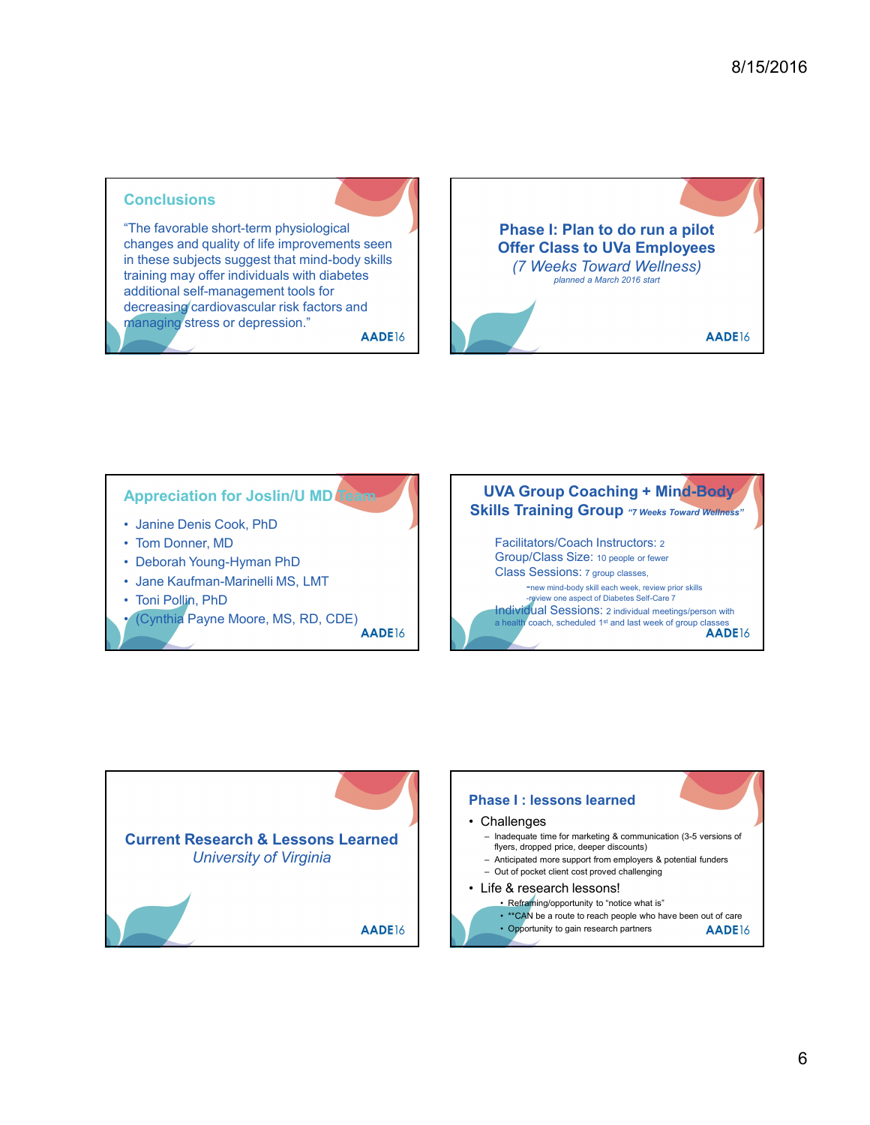### **Conclusions**

"The favorable short-term physiological changes and quality of life improvements seen in these subjects suggest that mind-body skills training may offer individuals with diabetes additional self-management tools for decreasing cardiovascular risk factors and managing stress or depression."<br>**AADE**16

![](_page_5_Picture_4.jpeg)

### **Appreciation for Joslin/U MD Te**

- 
- 
- 
- 
- 

![](_page_5_Picture_13.jpeg)

![](_page_5_Figure_14.jpeg)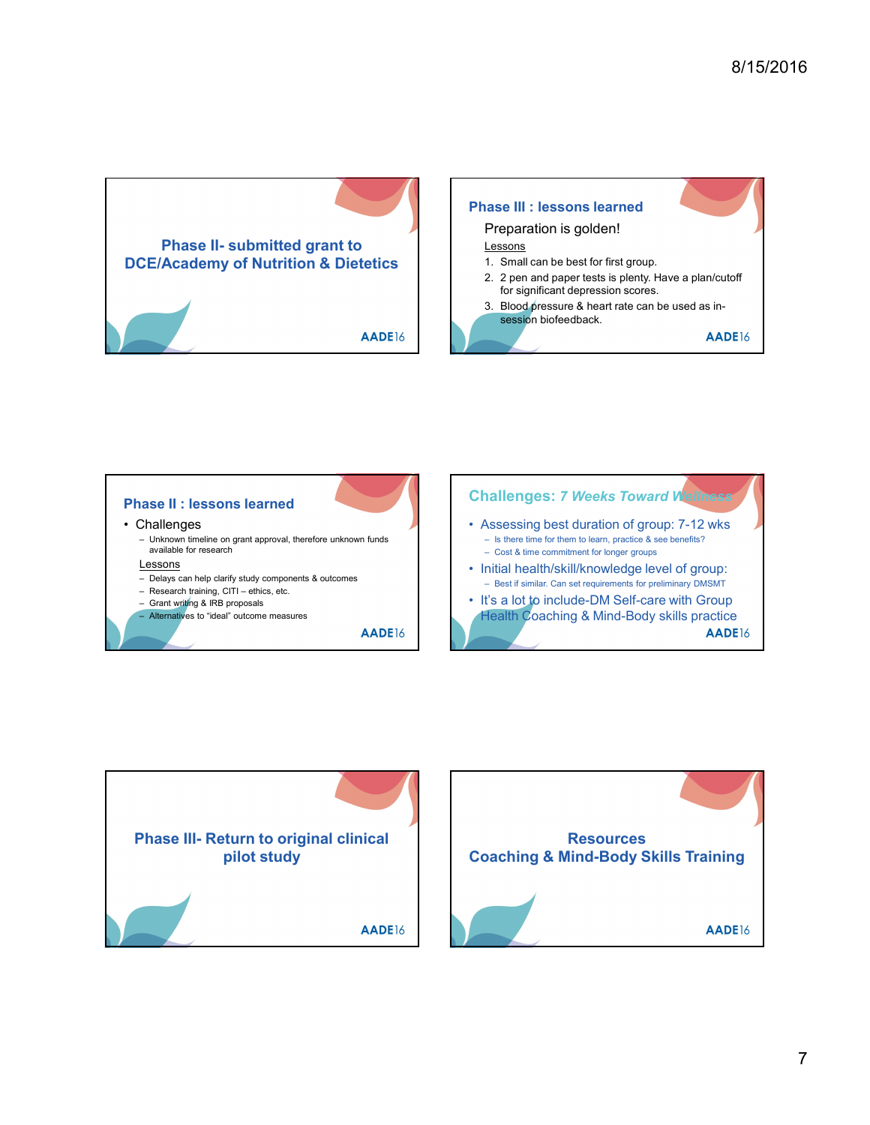![](_page_6_Picture_1.jpeg)

![](_page_6_Picture_2.jpeg)

![](_page_6_Figure_3.jpeg)

![](_page_6_Figure_4.jpeg)

![](_page_6_Picture_5.jpeg)